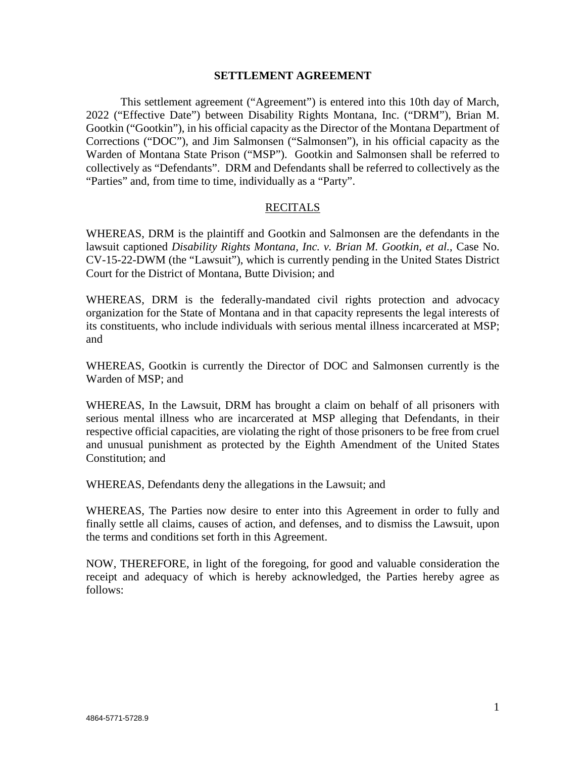#### **SETTLEMENT AGREEMENT**

This settlement agreement ("Agreement") is entered into this 10th day of March, 2022 ("Effective Date") between Disability Rights Montana, Inc. ("DRM"), Brian M. Gootkin ("Gootkin"), in his official capacity as the Director of the Montana Department of Corrections ("DOC"), and Jim Salmonsen ("Salmonsen"), in his official capacity as the Warden of Montana State Prison ("MSP"). Gootkin and Salmonsen shall be referred to collectively as "Defendants". DRM and Defendants shall be referred to collectively as the "Parties" and, from time to time, individually as a "Party".

#### RECITALS

WHEREAS, DRM is the plaintiff and Gootkin and Salmonsen are the defendants in the lawsuit captioned *Disability Rights Montana, Inc. v. Brian M. Gootkin, et al.*, Case No. CV-15-22-DWM (the "Lawsuit"), which is currently pending in the United States District Court for the District of Montana, Butte Division; and

WHEREAS, DRM is the federally-mandated civil rights protection and advocacy organization for the State of Montana and in that capacity represents the legal interests of its constituents, who include individuals with serious mental illness incarcerated at MSP; and

WHEREAS, Gootkin is currently the Director of DOC and Salmonsen currently is the Warden of MSP; and

WHEREAS, In the Lawsuit, DRM has brought a claim on behalf of all prisoners with serious mental illness who are incarcerated at MSP alleging that Defendants, in their respective official capacities, are violating the right of those prisoners to be free from cruel and unusual punishment as protected by the Eighth Amendment of the United States Constitution; and

WHEREAS, Defendants deny the allegations in the Lawsuit; and

WHEREAS, The Parties now desire to enter into this Agreement in order to fully and finally settle all claims, causes of action, and defenses, and to dismiss the Lawsuit, upon the terms and conditions set forth in this Agreement.

NOW, THEREFORE, in light of the foregoing, for good and valuable consideration the receipt and adequacy of which is hereby acknowledged, the Parties hereby agree as follows: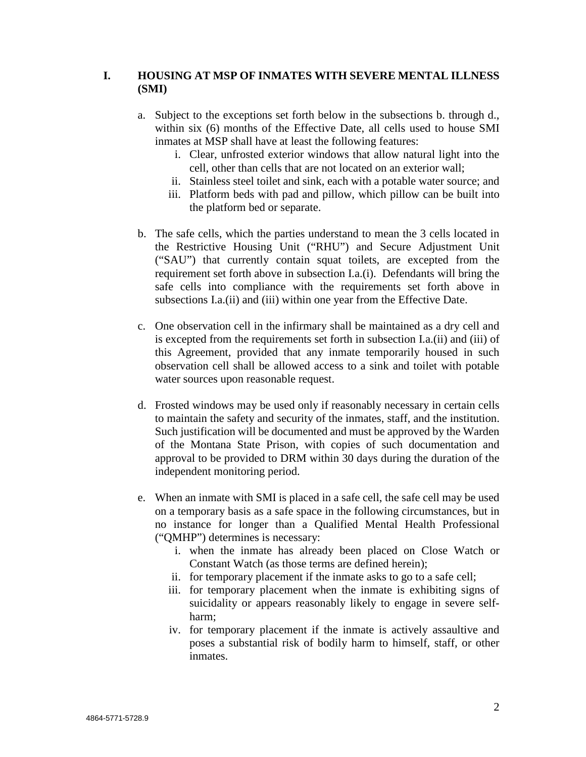# **I. HOUSING AT MSP OF INMATES WITH SEVERE MENTAL ILLNESS (SMI)**

- a. Subject to the exceptions set forth below in the subsections b. through d., within six (6) months of the Effective Date, all cells used to house SMI inmates at MSP shall have at least the following features:
	- i. Clear, unfrosted exterior windows that allow natural light into the cell, other than cells that are not located on an exterior wall;
	- ii. Stainless steel toilet and sink, each with a potable water source; and
	- iii. Platform beds with pad and pillow, which pillow can be built into the platform bed or separate.
- b. The safe cells, which the parties understand to mean the 3 cells located in the Restrictive Housing Unit ("RHU") and Secure Adjustment Unit ("SAU") that currently contain squat toilets, are excepted from the requirement set forth above in subsection I.a.(i). Defendants will bring the safe cells into compliance with the requirements set forth above in subsections I.a.(ii) and (iii) within one year from the Effective Date.
- c. One observation cell in the infirmary shall be maintained as a dry cell and is excepted from the requirements set forth in subsection I.a.(ii) and (iii) of this Agreement, provided that any inmate temporarily housed in such observation cell shall be allowed access to a sink and toilet with potable water sources upon reasonable request.
- d. Frosted windows may be used only if reasonably necessary in certain cells to maintain the safety and security of the inmates, staff, and the institution. Such justification will be documented and must be approved by the Warden of the Montana State Prison, with copies of such documentation and approval to be provided to DRM within 30 days during the duration of the independent monitoring period.
- e. When an inmate with SMI is placed in a safe cell, the safe cell may be used on a temporary basis as a safe space in the following circumstances, but in no instance for longer than a Qualified Mental Health Professional ("QMHP") determines is necessary:
	- i. when the inmate has already been placed on Close Watch or Constant Watch (as those terms are defined herein);
	- ii. for temporary placement if the inmate asks to go to a safe cell;
	- iii. for temporary placement when the inmate is exhibiting signs of suicidality or appears reasonably likely to engage in severe selfharm;
	- iv. for temporary placement if the inmate is actively assaultive and poses a substantial risk of bodily harm to himself, staff, or other inmates.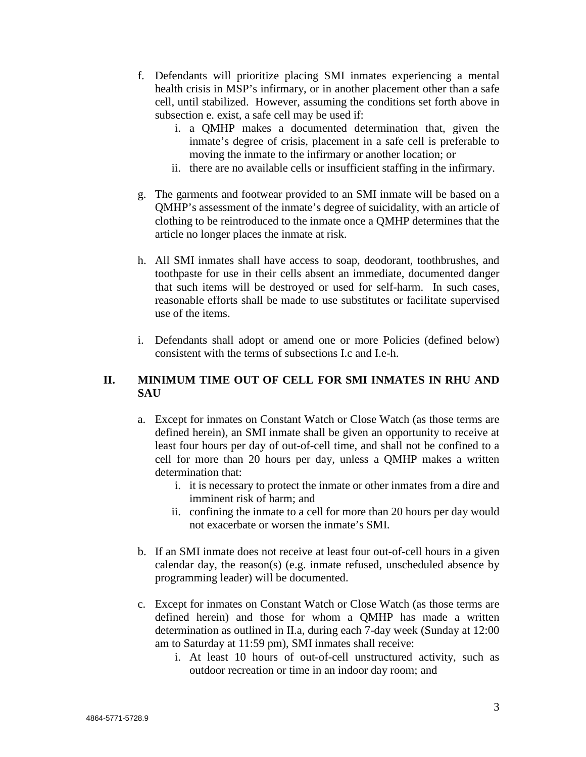- f. Defendants will prioritize placing SMI inmates experiencing a mental health crisis in MSP's infirmary, or in another placement other than a safe cell, until stabilized. However, assuming the conditions set forth above in subsection e. exist, a safe cell may be used if:
	- i. a QMHP makes a documented determination that, given the inmate's degree of crisis, placement in a safe cell is preferable to moving the inmate to the infirmary or another location; or
	- ii. there are no available cells or insufficient staffing in the infirmary.
- g. The garments and footwear provided to an SMI inmate will be based on a QMHP's assessment of the inmate's degree of suicidality, with an article of clothing to be reintroduced to the inmate once a QMHP determines that the article no longer places the inmate at risk.
- h. All SMI inmates shall have access to soap, deodorant, toothbrushes, and toothpaste for use in their cells absent an immediate, documented danger that such items will be destroyed or used for self-harm. In such cases, reasonable efforts shall be made to use substitutes or facilitate supervised use of the items.
- i. Defendants shall adopt or amend one or more Policies (defined below) consistent with the terms of subsections I.c and I.e-h.

# **II. MINIMUM TIME OUT OF CELL FOR SMI INMATES IN RHU AND SAU**

- a. Except for inmates on Constant Watch or Close Watch (as those terms are defined herein), an SMI inmate shall be given an opportunity to receive at least four hours per day of out-of-cell time, and shall not be confined to a cell for more than 20 hours per day, unless a QMHP makes a written determination that:
	- i. it is necessary to protect the inmate or other inmates from a dire and imminent risk of harm; and
	- ii. confining the inmate to a cell for more than 20 hours per day would not exacerbate or worsen the inmate's SMI.
- b. If an SMI inmate does not receive at least four out-of-cell hours in a given calendar day, the reason(s) (e.g. inmate refused, unscheduled absence by programming leader) will be documented.
- c. Except for inmates on Constant Watch or Close Watch (as those terms are defined herein) and those for whom a QMHP has made a written determination as outlined in II.a, during each 7-day week (Sunday at 12:00 am to Saturday at 11:59 pm), SMI inmates shall receive:
	- i. At least 10 hours of out-of-cell unstructured activity, such as outdoor recreation or time in an indoor day room; and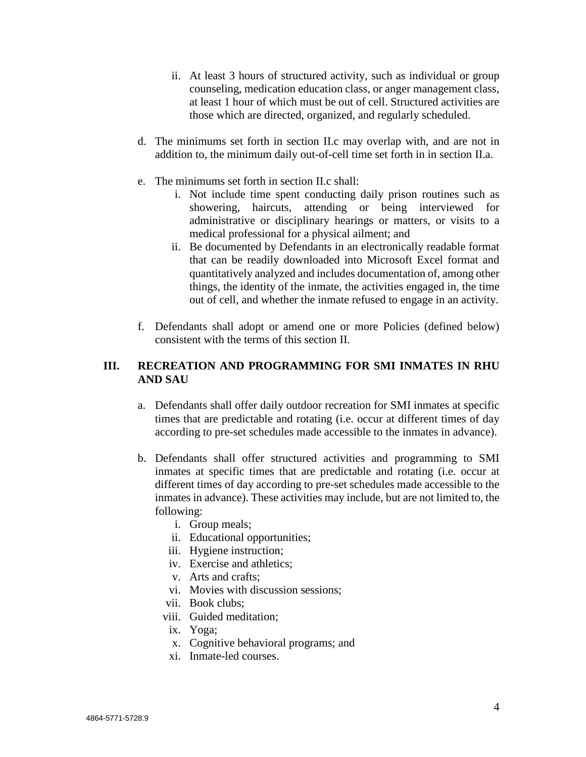- ii. At least 3 hours of structured activity, such as individual or group counseling, medication education class, or anger management class, at least 1 hour of which must be out of cell. Structured activities are those which are directed, organized, and regularly scheduled.
- d. The minimums set forth in section II.c may overlap with, and are not in addition to, the minimum daily out-of-cell time set forth in in section II.a.
- e. The minimums set forth in section II.c shall:
	- i. Not include time spent conducting daily prison routines such as showering, haircuts, attending or being interviewed for administrative or disciplinary hearings or matters, or visits to a medical professional for a physical ailment; and
	- ii. Be documented by Defendants in an electronically readable format that can be readily downloaded into Microsoft Excel format and quantitatively analyzed and includes documentation of, among other things, the identity of the inmate, the activities engaged in, the time out of cell, and whether the inmate refused to engage in an activity.
- f. Defendants shall adopt or amend one or more Policies (defined below) consistent with the terms of this section II.

### **III. RECREATION AND PROGRAMMING FOR SMI INMATES IN RHU AND SAU**

- a. Defendants shall offer daily outdoor recreation for SMI inmates at specific times that are predictable and rotating (i.e. occur at different times of day according to pre-set schedules made accessible to the inmates in advance).
- b. Defendants shall offer structured activities and programming to SMI inmates at specific times that are predictable and rotating (i.e. occur at different times of day according to pre-set schedules made accessible to the inmates in advance). These activities may include, but are not limited to, the following:
	- i. Group meals;
	- ii. Educational opportunities;
	- iii. Hygiene instruction;
	- iv. Exercise and athletics;
	- v. Arts and crafts;
	- vi. Movies with discussion sessions;
	- vii. Book clubs;
	- viii. Guided meditation;
	- ix. Yoga;
	- x. Cognitive behavioral programs; and
	- xi. Inmate-led courses.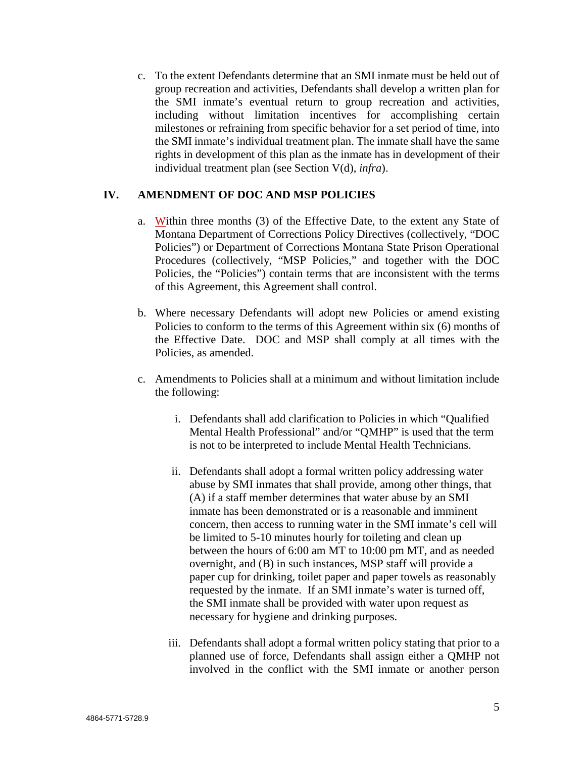c. To the extent Defendants determine that an SMI inmate must be held out of group recreation and activities, Defendants shall develop a written plan for the SMI inmate's eventual return to group recreation and activities, including without limitation incentives for accomplishing certain milestones or refraining from specific behavior for a set period of time, into the SMI inmate's individual treatment plan. The inmate shall have the same rights in development of this plan as the inmate has in development of their individual treatment plan (see Section V(d), *infra*).

#### **IV. AMENDMENT OF DOC AND MSP POLICIES**

- a. Within three months (3) of the Effective Date, to the extent any State of Montana Department of Corrections Policy Directives (collectively, "DOC Policies") or Department of Corrections Montana State Prison Operational Procedures (collectively, "MSP Policies," and together with the DOC Policies, the "Policies") contain terms that are inconsistent with the terms of this Agreement, this Agreement shall control.
- b. Where necessary Defendants will adopt new Policies or amend existing Policies to conform to the terms of this Agreement within six (6) months of the Effective Date. DOC and MSP shall comply at all times with the Policies, as amended.
- c. Amendments to Policies shall at a minimum and without limitation include the following:
	- i. Defendants shall add clarification to Policies in which "Qualified Mental Health Professional" and/or "QMHP" is used that the term is not to be interpreted to include Mental Health Technicians.
	- ii. Defendants shall adopt a formal written policy addressing water abuse by SMI inmates that shall provide, among other things, that (A) if a staff member determines that water abuse by an SMI inmate has been demonstrated or is a reasonable and imminent concern, then access to running water in the SMI inmate's cell will be limited to 5-10 minutes hourly for toileting and clean up between the hours of 6:00 am MT to 10:00 pm MT, and as needed overnight, and (B) in such instances, MSP staff will provide a paper cup for drinking, toilet paper and paper towels as reasonably requested by the inmate. If an SMI inmate's water is turned off, the SMI inmate shall be provided with water upon request as necessary for hygiene and drinking purposes.
	- iii. Defendants shall adopt a formal written policy stating that prior to a planned use of force, Defendants shall assign either a QMHP not involved in the conflict with the SMI inmate or another person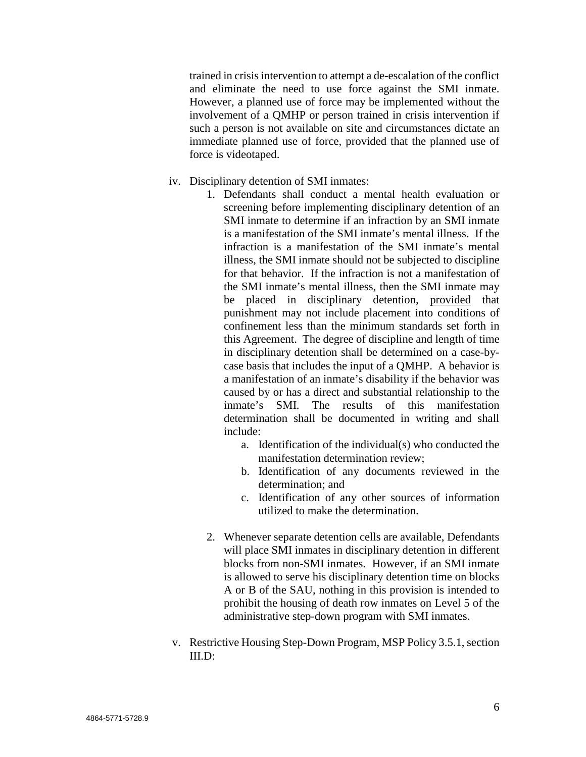trained in crisis intervention to attempt a de-escalation of the conflict and eliminate the need to use force against the SMI inmate. However, a planned use of force may be implemented without the involvement of a QMHP or person trained in crisis intervention if such a person is not available on site and circumstances dictate an immediate planned use of force, provided that the planned use of force is videotaped.

- iv. Disciplinary detention of SMI inmates:
	- 1. Defendants shall conduct a mental health evaluation or screening before implementing disciplinary detention of an SMI inmate to determine if an infraction by an SMI inmate is a manifestation of the SMI inmate's mental illness. If the infraction is a manifestation of the SMI inmate's mental illness, the SMI inmate should not be subjected to discipline for that behavior. If the infraction is not a manifestation of the SMI inmate's mental illness, then the SMI inmate may be placed in disciplinary detention, provided that punishment may not include placement into conditions of confinement less than the minimum standards set forth in this Agreement. The degree of discipline and length of time in disciplinary detention shall be determined on a case-bycase basis that includes the input of a QMHP. A behavior is a manifestation of an inmate's disability if the behavior was caused by or has a direct and substantial relationship to the inmate's SMI. The results of this manifestation determination shall be documented in writing and shall include:
		- a. Identification of the individual(s) who conducted the manifestation determination review;
		- b. Identification of any documents reviewed in the determination; and
		- c. Identification of any other sources of information utilized to make the determination.
	- 2. Whenever separate detention cells are available, Defendants will place SMI inmates in disciplinary detention in different blocks from non-SMI inmates. However, if an SMI inmate is allowed to serve his disciplinary detention time on blocks A or B of the SAU, nothing in this provision is intended to prohibit the housing of death row inmates on Level 5 of the administrative step-down program with SMI inmates.
- v. Restrictive Housing Step-Down Program, MSP Policy 3.5.1, section  $III.D:$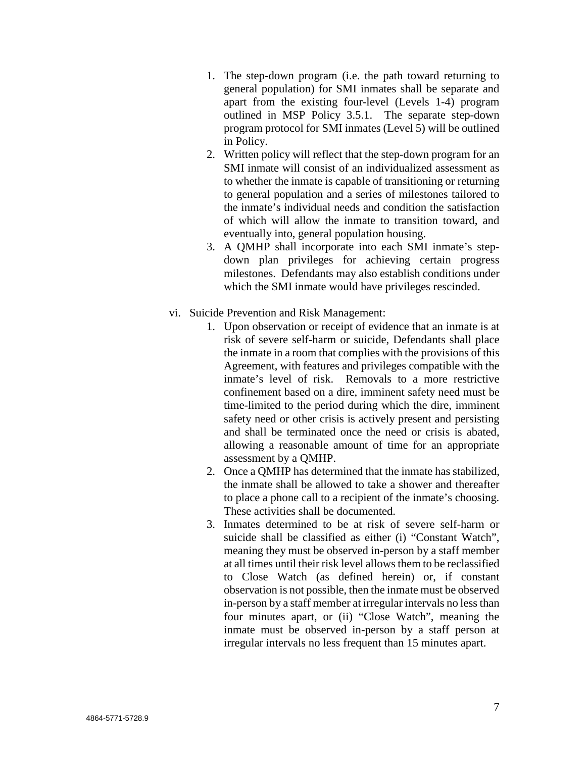- 1. The step-down program (i.e. the path toward returning to general population) for SMI inmates shall be separate and apart from the existing four-level (Levels 1-4) program outlined in MSP Policy 3.5.1. The separate step-down program protocol for SMI inmates (Level 5) will be outlined in Policy.
- 2. Written policy will reflect that the step-down program for an SMI inmate will consist of an individualized assessment as to whether the inmate is capable of transitioning or returning to general population and a series of milestones tailored to the inmate's individual needs and condition the satisfaction of which will allow the inmate to transition toward, and eventually into, general population housing.
- 3. A QMHP shall incorporate into each SMI inmate's stepdown plan privileges for achieving certain progress milestones. Defendants may also establish conditions under which the SMI inmate would have privileges rescinded.
- vi. Suicide Prevention and Risk Management:
	- 1. Upon observation or receipt of evidence that an inmate is at risk of severe self-harm or suicide, Defendants shall place the inmate in a room that complies with the provisions of this Agreement, with features and privileges compatible with the inmate's level of risk. Removals to a more restrictive confinement based on a dire, imminent safety need must be time-limited to the period during which the dire, imminent safety need or other crisis is actively present and persisting and shall be terminated once the need or crisis is abated, allowing a reasonable amount of time for an appropriate assessment by a QMHP.
	- 2. Once a QMHP has determined that the inmate has stabilized, the inmate shall be allowed to take a shower and thereafter to place a phone call to a recipient of the inmate's choosing. These activities shall be documented.
	- 3. Inmates determined to be at risk of severe self-harm or suicide shall be classified as either (i) "Constant Watch", meaning they must be observed in-person by a staff member at all times until their risk level allows them to be reclassified to Close Watch (as defined herein) or, if constant observation is not possible, then the inmate must be observed in-person by a staff member at irregular intervals no less than four minutes apart, or (ii) "Close Watch", meaning the inmate must be observed in-person by a staff person at irregular intervals no less frequent than 15 minutes apart.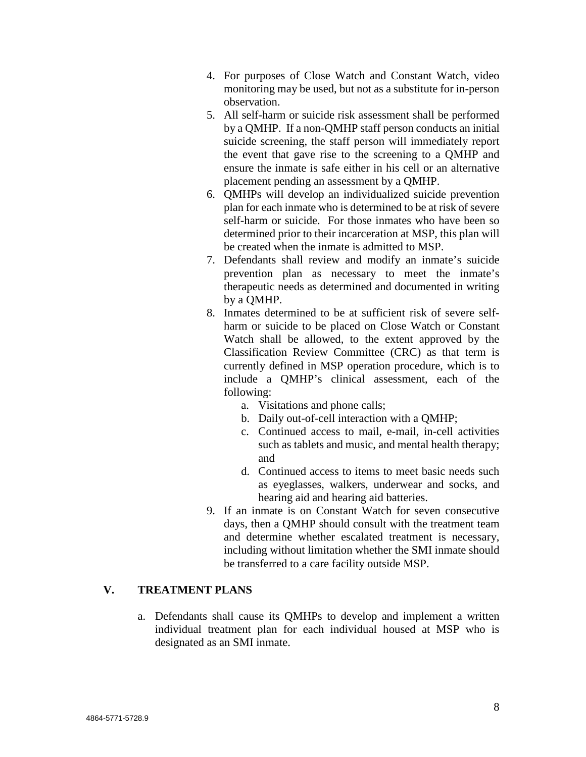- 4. For purposes of Close Watch and Constant Watch, video monitoring may be used, but not as a substitute for in-person observation.
- 5. All self-harm or suicide risk assessment shall be performed by a QMHP. If a non-QMHP staff person conducts an initial suicide screening, the staff person will immediately report the event that gave rise to the screening to a QMHP and ensure the inmate is safe either in his cell or an alternative placement pending an assessment by a QMHP.
- 6. QMHPs will develop an individualized suicide prevention plan for each inmate who is determined to be at risk of severe self-harm or suicide. For those inmates who have been so determined prior to their incarceration at MSP, this plan will be created when the inmate is admitted to MSP.
- 7. Defendants shall review and modify an inmate's suicide prevention plan as necessary to meet the inmate's therapeutic needs as determined and documented in writing by a QMHP.
- 8. Inmates determined to be at sufficient risk of severe selfharm or suicide to be placed on Close Watch or Constant Watch shall be allowed, to the extent approved by the Classification Review Committee (CRC) as that term is currently defined in MSP operation procedure, which is to include a QMHP's clinical assessment, each of the following:
	- a. Visitations and phone calls;
	- b. Daily out-of-cell interaction with a QMHP;
	- c. Continued access to mail, e-mail, in-cell activities such as tablets and music, and mental health therapy; and
	- d. Continued access to items to meet basic needs such as eyeglasses, walkers, underwear and socks, and hearing aid and hearing aid batteries.
- 9. If an inmate is on Constant Watch for seven consecutive days, then a QMHP should consult with the treatment team and determine whether escalated treatment is necessary, including without limitation whether the SMI inmate should be transferred to a care facility outside MSP.

# **V. TREATMENT PLANS**

a. Defendants shall cause its QMHPs to develop and implement a written individual treatment plan for each individual housed at MSP who is designated as an SMI inmate.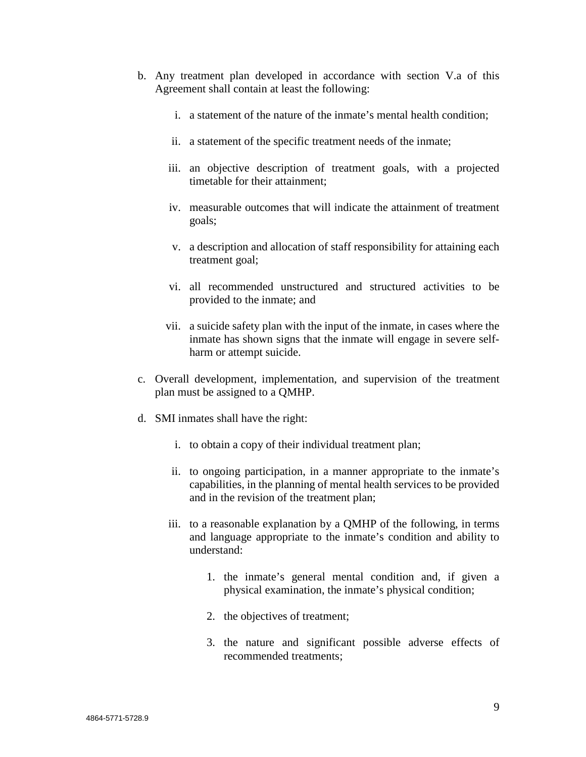- b. Any treatment plan developed in accordance with section V.a of this Agreement shall contain at least the following:
	- i. a statement of the nature of the inmate's mental health condition;
	- ii. a statement of the specific treatment needs of the inmate;
	- iii. an objective description of treatment goals, with a projected timetable for their attainment;
	- iv. measurable outcomes that will indicate the attainment of treatment goals;
	- v. a description and allocation of staff responsibility for attaining each treatment goal;
	- vi. all recommended unstructured and structured activities to be provided to the inmate; and
	- vii. a suicide safety plan with the input of the inmate, in cases where the inmate has shown signs that the inmate will engage in severe selfharm or attempt suicide.
- c. Overall development, implementation, and supervision of the treatment plan must be assigned to a QMHP.
- d. SMI inmates shall have the right:
	- i. to obtain a copy of their individual treatment plan;
	- ii. to ongoing participation, in a manner appropriate to the inmate's capabilities, in the planning of mental health services to be provided and in the revision of the treatment plan;
	- iii. to a reasonable explanation by a QMHP of the following, in terms and language appropriate to the inmate's condition and ability to understand:
		- 1. the inmate's general mental condition and, if given a physical examination, the inmate's physical condition;
		- 2. the objectives of treatment;
		- 3. the nature and significant possible adverse effects of recommended treatments;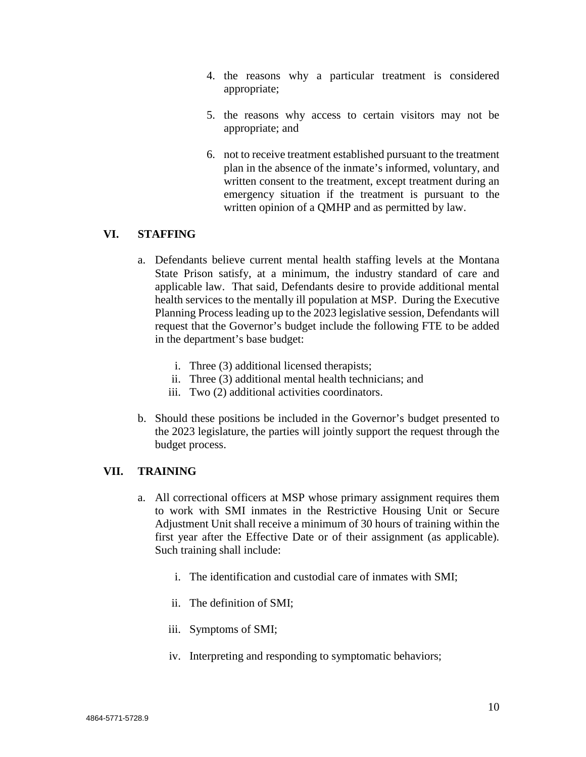- 4. the reasons why a particular treatment is considered appropriate;
- 5. the reasons why access to certain visitors may not be appropriate; and
- 6. not to receive treatment established pursuant to the treatment plan in the absence of the inmate's informed, voluntary, and written consent to the treatment, except treatment during an emergency situation if the treatment is pursuant to the written opinion of a QMHP and as permitted by law.

# **VI. STAFFING**

- a. Defendants believe current mental health staffing levels at the Montana State Prison satisfy, at a minimum, the industry standard of care and applicable law. That said, Defendants desire to provide additional mental health services to the mentally ill population at MSP. During the Executive Planning Process leading up to the 2023 legislative session, Defendants will request that the Governor's budget include the following FTE to be added in the department's base budget:
	- i. Three (3) additional licensed therapists;
	- ii. Three (3) additional mental health technicians; and
	- iii. Two (2) additional activities coordinators.
- b. Should these positions be included in the Governor's budget presented to the 2023 legislature, the parties will jointly support the request through the budget process.

### **VII. TRAINING**

- a. All correctional officers at MSP whose primary assignment requires them to work with SMI inmates in the Restrictive Housing Unit or Secure Adjustment Unit shall receive a minimum of 30 hours of training within the first year after the Effective Date or of their assignment (as applicable). Such training shall include:
	- i. The identification and custodial care of inmates with SMI;
	- ii. The definition of SMI;
	- iii. Symptoms of SMI;
	- iv. Interpreting and responding to symptomatic behaviors;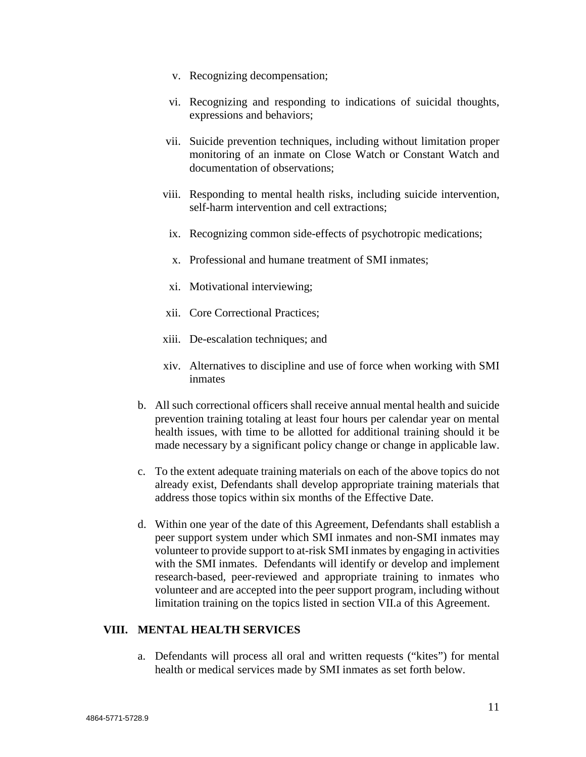- v. Recognizing decompensation;
- vi. Recognizing and responding to indications of suicidal thoughts, expressions and behaviors;
- vii. Suicide prevention techniques, including without limitation proper monitoring of an inmate on Close Watch or Constant Watch and documentation of observations;
- viii. Responding to mental health risks, including suicide intervention, self-harm intervention and cell extractions;
	- ix. Recognizing common side-effects of psychotropic medications;
	- x. Professional and humane treatment of SMI inmates;
	- xi. Motivational interviewing;
- xii. Core Correctional Practices;
- xiii. De-escalation techniques; and
- xiv. Alternatives to discipline and use of force when working with SMI inmates
- b. All such correctional officers shall receive annual mental health and suicide prevention training totaling at least four hours per calendar year on mental health issues, with time to be allotted for additional training should it be made necessary by a significant policy change or change in applicable law.
- c. To the extent adequate training materials on each of the above topics do not already exist, Defendants shall develop appropriate training materials that address those topics within six months of the Effective Date.
- d. Within one year of the date of this Agreement, Defendants shall establish a peer support system under which SMI inmates and non-SMI inmates may volunteer to provide support to at-risk SMI inmates by engaging in activities with the SMI inmates. Defendants will identify or develop and implement research-based, peer-reviewed and appropriate training to inmates who volunteer and are accepted into the peer support program, including without limitation training on the topics listed in section VII.a of this Agreement.

#### **VIII. MENTAL HEALTH SERVICES**

a. Defendants will process all oral and written requests ("kites") for mental health or medical services made by SMI inmates as set forth below.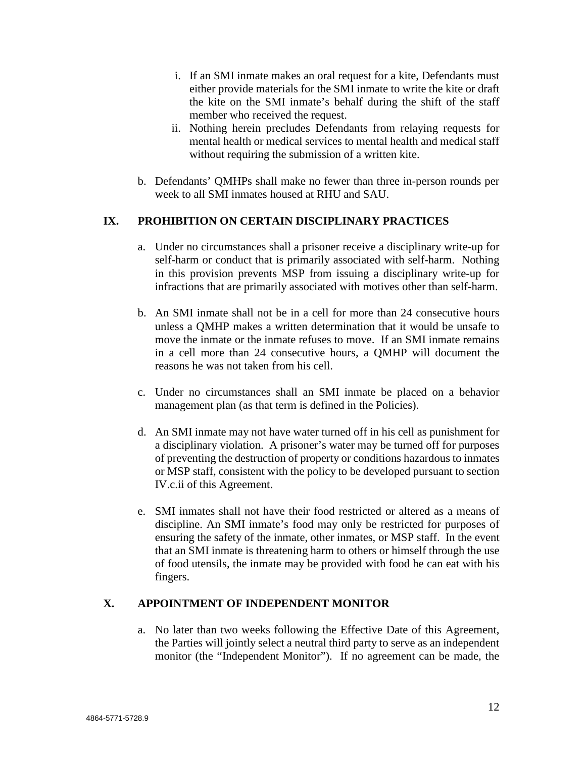- i. If an SMI inmate makes an oral request for a kite, Defendants must either provide materials for the SMI inmate to write the kite or draft the kite on the SMI inmate's behalf during the shift of the staff member who received the request.
- ii. Nothing herein precludes Defendants from relaying requests for mental health or medical services to mental health and medical staff without requiring the submission of a written kite.
- b. Defendants' QMHPs shall make no fewer than three in-person rounds per week to all SMI inmates housed at RHU and SAU.

# **IX. PROHIBITION ON CERTAIN DISCIPLINARY PRACTICES**

- a. Under no circumstances shall a prisoner receive a disciplinary write-up for self-harm or conduct that is primarily associated with self-harm. Nothing in this provision prevents MSP from issuing a disciplinary write-up for infractions that are primarily associated with motives other than self-harm.
- b. An SMI inmate shall not be in a cell for more than 24 consecutive hours unless a QMHP makes a written determination that it would be unsafe to move the inmate or the inmate refuses to move. If an SMI inmate remains in a cell more than 24 consecutive hours, a QMHP will document the reasons he was not taken from his cell.
- c. Under no circumstances shall an SMI inmate be placed on a behavior management plan (as that term is defined in the Policies).
- d. An SMI inmate may not have water turned off in his cell as punishment for a disciplinary violation. A prisoner's water may be turned off for purposes of preventing the destruction of property or conditions hazardous to inmates or MSP staff, consistent with the policy to be developed pursuant to section IV.c.ii of this Agreement.
- e. SMI inmates shall not have their food restricted or altered as a means of discipline. An SMI inmate's food may only be restricted for purposes of ensuring the safety of the inmate, other inmates, or MSP staff. In the event that an SMI inmate is threatening harm to others or himself through the use of food utensils, the inmate may be provided with food he can eat with his fingers.

### **X. APPOINTMENT OF INDEPENDENT MONITOR**

a. No later than two weeks following the Effective Date of this Agreement, the Parties will jointly select a neutral third party to serve as an independent monitor (the "Independent Monitor"). If no agreement can be made, the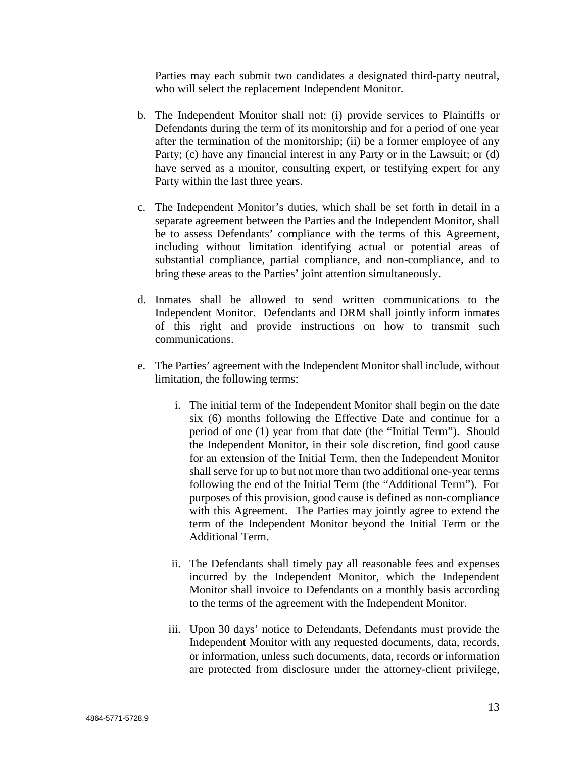Parties may each submit two candidates a designated third-party neutral, who will select the replacement Independent Monitor.

- b. The Independent Monitor shall not: (i) provide services to Plaintiffs or Defendants during the term of its monitorship and for a period of one year after the termination of the monitorship; (ii) be a former employee of any Party; (c) have any financial interest in any Party or in the Lawsuit; or (d) have served as a monitor, consulting expert, or testifying expert for any Party within the last three years.
- c. The Independent Monitor's duties, which shall be set forth in detail in a separate agreement between the Parties and the Independent Monitor, shall be to assess Defendants' compliance with the terms of this Agreement, including without limitation identifying actual or potential areas of substantial compliance, partial compliance, and non-compliance, and to bring these areas to the Parties' joint attention simultaneously.
- d. Inmates shall be allowed to send written communications to the Independent Monitor. Defendants and DRM shall jointly inform inmates of this right and provide instructions on how to transmit such communications.
- e. The Parties' agreement with the Independent Monitor shall include, without limitation, the following terms:
	- i. The initial term of the Independent Monitor shall begin on the date six (6) months following the Effective Date and continue for a period of one (1) year from that date (the "Initial Term"). Should the Independent Monitor, in their sole discretion, find good cause for an extension of the Initial Term, then the Independent Monitor shall serve for up to but not more than two additional one-year terms following the end of the Initial Term (the "Additional Term"). For purposes of this provision, good cause is defined as non-compliance with this Agreement. The Parties may jointly agree to extend the term of the Independent Monitor beyond the Initial Term or the Additional Term.
	- ii. The Defendants shall timely pay all reasonable fees and expenses incurred by the Independent Monitor, which the Independent Monitor shall invoice to Defendants on a monthly basis according to the terms of the agreement with the Independent Monitor.
	- iii. Upon 30 days' notice to Defendants, Defendants must provide the Independent Monitor with any requested documents, data, records, or information, unless such documents, data, records or information are protected from disclosure under the attorney-client privilege,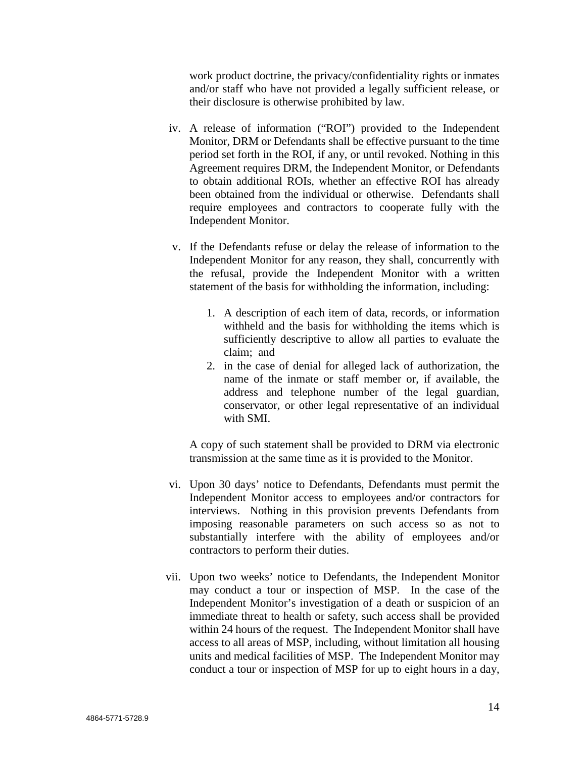work product doctrine, the privacy/confidentiality rights or inmates and/or staff who have not provided a legally sufficient release, or their disclosure is otherwise prohibited by law.

- iv. A release of information ("ROI") provided to the Independent Monitor, DRM or Defendants shall be effective pursuant to the time period set forth in the ROI, if any, or until revoked. Nothing in this Agreement requires DRM, the Independent Monitor, or Defendants to obtain additional ROIs, whether an effective ROI has already been obtained from the individual or otherwise. Defendants shall require employees and contractors to cooperate fully with the Independent Monitor.
- v. If the Defendants refuse or delay the release of information to the Independent Monitor for any reason, they shall, concurrently with the refusal, provide the Independent Monitor with a written statement of the basis for withholding the information, including:
	- 1. A description of each item of data, records, or information withheld and the basis for withholding the items which is sufficiently descriptive to allow all parties to evaluate the claim; and
	- 2. in the case of denial for alleged lack of authorization, the name of the inmate or staff member or, if available, the address and telephone number of the legal guardian, conservator, or other legal representative of an individual with SMI.

A copy of such statement shall be provided to DRM via electronic transmission at the same time as it is provided to the Monitor.

- vi. Upon 30 days' notice to Defendants, Defendants must permit the Independent Monitor access to employees and/or contractors for interviews. Nothing in this provision prevents Defendants from imposing reasonable parameters on such access so as not to substantially interfere with the ability of employees and/or contractors to perform their duties.
- vii. Upon two weeks' notice to Defendants, the Independent Monitor may conduct a tour or inspection of MSP. In the case of the Independent Monitor's investigation of a death or suspicion of an immediate threat to health or safety, such access shall be provided within 24 hours of the request. The Independent Monitor shall have access to all areas of MSP, including, without limitation all housing units and medical facilities of MSP. The Independent Monitor may conduct a tour or inspection of MSP for up to eight hours in a day,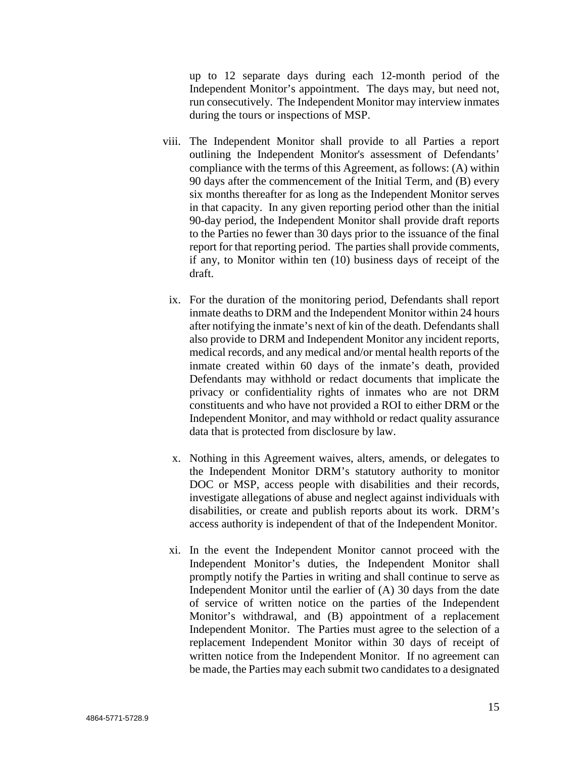up to 12 separate days during each 12-month period of the Independent Monitor's appointment. The days may, but need not, run consecutively. The Independent Monitor may interview inmates during the tours or inspections of MSP.

- viii. The Independent Monitor shall provide to all Parties a report outlining the Independent Monitor's assessment of Defendants' compliance with the terms of this Agreement, as follows: (A) within 90 days after the commencement of the Initial Term, and (B) every six months thereafter for as long as the Independent Monitor serves in that capacity. In any given reporting period other than the initial 90-day period, the Independent Monitor shall provide draft reports to the Parties no fewer than 30 days prior to the issuance of the final report for that reporting period. The parties shall provide comments, if any, to Monitor within ten (10) business days of receipt of the draft.
	- ix. For the duration of the monitoring period, Defendants shall report inmate deaths to DRM and the Independent Monitor within 24 hours after notifying the inmate's next of kin of the death. Defendants shall also provide to DRM and Independent Monitor any incident reports, medical records, and any medical and/or mental health reports of the inmate created within 60 days of the inmate's death, provided Defendants may withhold or redact documents that implicate the privacy or confidentiality rights of inmates who are not DRM constituents and who have not provided a ROI to either DRM or the Independent Monitor, and may withhold or redact quality assurance data that is protected from disclosure by law.
	- x. Nothing in this Agreement waives, alters, amends, or delegates to the Independent Monitor DRM's statutory authority to monitor DOC or MSP, access people with disabilities and their records, investigate allegations of abuse and neglect against individuals with disabilities, or create and publish reports about its work. DRM's access authority is independent of that of the Independent Monitor.
	- xi. In the event the Independent Monitor cannot proceed with the Independent Monitor's duties, the Independent Monitor shall promptly notify the Parties in writing and shall continue to serve as Independent Monitor until the earlier of (A) 30 days from the date of service of written notice on the parties of the Independent Monitor's withdrawal, and (B) appointment of a replacement Independent Monitor. The Parties must agree to the selection of a replacement Independent Monitor within 30 days of receipt of written notice from the Independent Monitor. If no agreement can be made, the Parties may each submit two candidates to a designated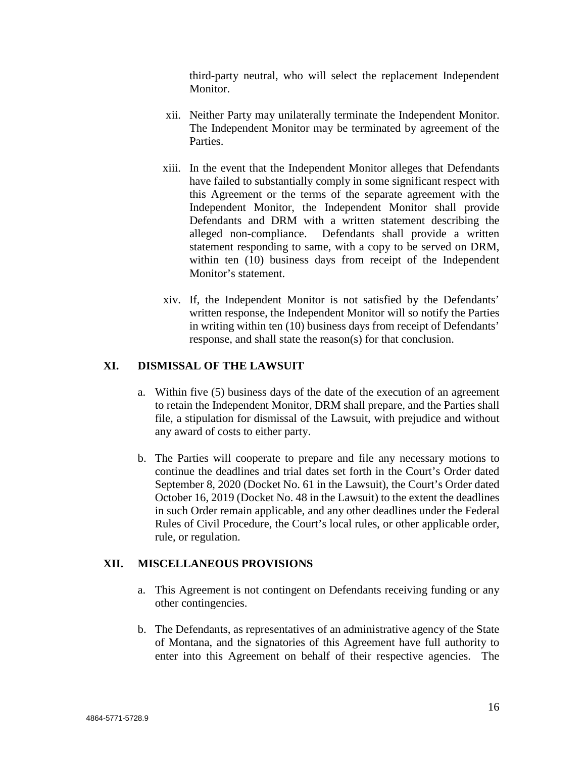third-party neutral, who will select the replacement Independent Monitor.

- xii. Neither Party may unilaterally terminate the Independent Monitor. The Independent Monitor may be terminated by agreement of the Parties.
- xiii. In the event that the Independent Monitor alleges that Defendants have failed to substantially comply in some significant respect with this Agreement or the terms of the separate agreement with the Independent Monitor, the Independent Monitor shall provide Defendants and DRM with a written statement describing the alleged non-compliance. Defendants shall provide a written statement responding to same, with a copy to be served on DRM, within ten (10) business days from receipt of the Independent Monitor's statement.
- xiv. If, the Independent Monitor is not satisfied by the Defendants' written response, the Independent Monitor will so notify the Parties in writing within ten (10) business days from receipt of Defendants' response, and shall state the reason(s) for that conclusion.

### **XI. DISMISSAL OF THE LAWSUIT**

- a. Within five (5) business days of the date of the execution of an agreement to retain the Independent Monitor, DRM shall prepare, and the Parties shall file, a stipulation for dismissal of the Lawsuit, with prejudice and without any award of costs to either party.
- b. The Parties will cooperate to prepare and file any necessary motions to continue the deadlines and trial dates set forth in the Court's Order dated September 8, 2020 (Docket No. 61 in the Lawsuit), the Court's Order dated October 16, 2019 (Docket No. 48 in the Lawsuit) to the extent the deadlines in such Order remain applicable, and any other deadlines under the Federal Rules of Civil Procedure, the Court's local rules, or other applicable order, rule, or regulation.

### **XII. MISCELLANEOUS PROVISIONS**

- a. This Agreement is not contingent on Defendants receiving funding or any other contingencies.
- b. The Defendants, as representatives of an administrative agency of the State of Montana, and the signatories of this Agreement have full authority to enter into this Agreement on behalf of their respective agencies. The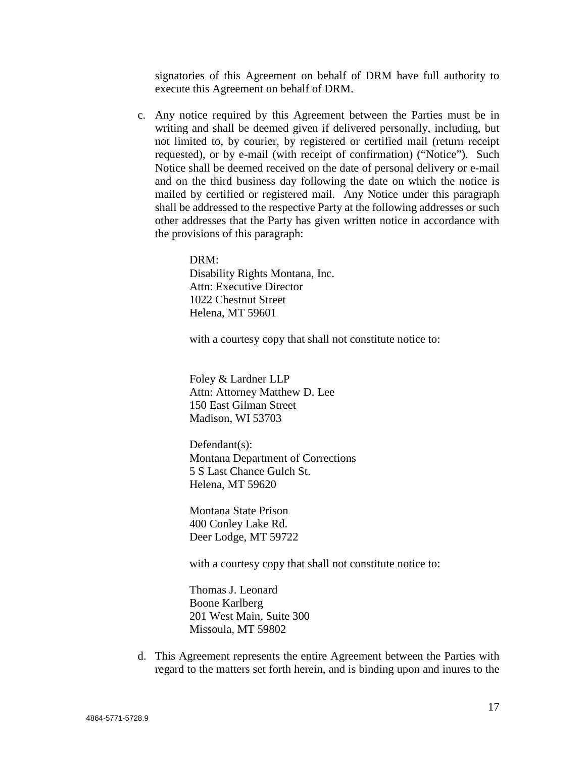signatories of this Agreement on behalf of DRM have full authority to execute this Agreement on behalf of DRM.

c. Any notice required by this Agreement between the Parties must be in writing and shall be deemed given if delivered personally, including, but not limited to, by courier, by registered or certified mail (return receipt requested), or by e-mail (with receipt of confirmation) ("Notice"). Such Notice shall be deemed received on the date of personal delivery or e-mail and on the third business day following the date on which the notice is mailed by certified or registered mail. Any Notice under this paragraph shall be addressed to the respective Party at the following addresses or such other addresses that the Party has given written notice in accordance with the provisions of this paragraph:

> DRM: Disability Rights Montana, Inc. Attn: Executive Director 1022 Chestnut Street Helena, MT 59601

with a courtesy copy that shall not constitute notice to:

Foley & Lardner LLP Attn: Attorney Matthew D. Lee 150 East Gilman Street Madison, WI 53703

Defendant(s): Montana Department of Corrections 5 S Last Chance Gulch St. Helena, MT 59620

Montana State Prison 400 Conley Lake Rd. Deer Lodge, MT 59722

with a courtesy copy that shall not constitute notice to:

Thomas J. Leonard Boone Karlberg 201 West Main, Suite 300 Missoula, MT 59802

d. This Agreement represents the entire Agreement between the Parties with regard to the matters set forth herein, and is binding upon and inures to the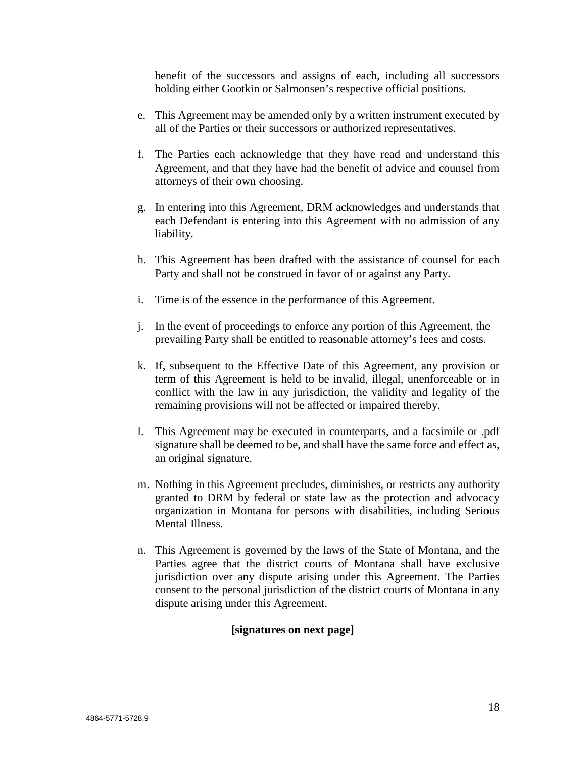benefit of the successors and assigns of each, including all successors holding either Gootkin or Salmonsen's respective official positions.

- e. This Agreement may be amended only by a written instrument executed by all of the Parties or their successors or authorized representatives.
- f. The Parties each acknowledge that they have read and understand this Agreement, and that they have had the benefit of advice and counsel from attorneys of their own choosing.
- g. In entering into this Agreement, DRM acknowledges and understands that each Defendant is entering into this Agreement with no admission of any liability.
- h. This Agreement has been drafted with the assistance of counsel for each Party and shall not be construed in favor of or against any Party.
- i. Time is of the essence in the performance of this Agreement.
- j. In the event of proceedings to enforce any portion of this Agreement, the prevailing Party shall be entitled to reasonable attorney's fees and costs.
- k. If, subsequent to the Effective Date of this Agreement, any provision or term of this Agreement is held to be invalid, illegal, unenforceable or in conflict with the law in any jurisdiction, the validity and legality of the remaining provisions will not be affected or impaired thereby.
- l. This Agreement may be executed in counterparts, and a facsimile or .pdf signature shall be deemed to be, and shall have the same force and effect as, an original signature.
- m. Nothing in this Agreement precludes, diminishes, or restricts any authority granted to DRM by federal or state law as the protection and advocacy organization in Montana for persons with disabilities, including Serious Mental Illness.
- n. This Agreement is governed by the laws of the State of Montana, and the Parties agree that the district courts of Montana shall have exclusive jurisdiction over any dispute arising under this Agreement. The Parties consent to the personal jurisdiction of the district courts of Montana in any dispute arising under this Agreement.

#### **[signatures on next page]**